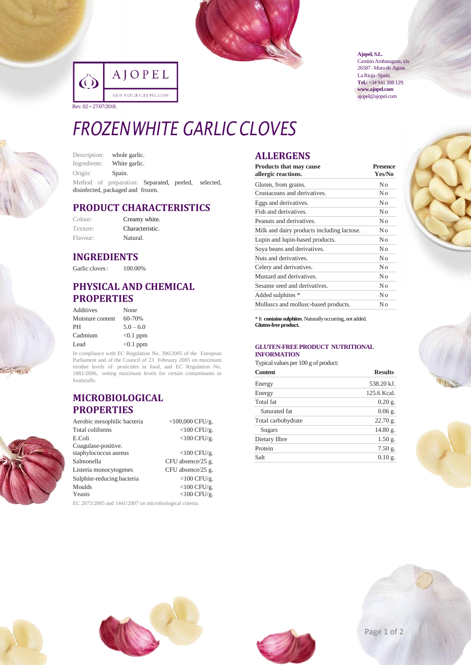

|                       | AJOPEL                 |
|-----------------------|------------------------|
|                       | AJOS NATURALES PELADOS |
| Rev. 02 – 27/07/2018. |                        |

**Ajopel, S.L.**

Camino Ambasaguas, s/n. 26587 • Muro de Aguas. La Rioja · Spain. **Tel.:**+34 941 398 129. **www.ajopel.com** ajopel@ajopel.com

# *FROZENWHITE GARLIC CLOVES*

| Description: | whole garlic.                                                                            |  |  |
|--------------|------------------------------------------------------------------------------------------|--|--|
| Ingredients: | White garlic.                                                                            |  |  |
| Origin:      | Spain.                                                                                   |  |  |
|              | Method of preparation: Separated, peeled, selected,<br>disinfected, packaged and frozen. |  |  |

## **PRODUCT CHARACTERISTICS**

| Colour:  | Creamy white.   |
|----------|-----------------|
| Texture: | Characteristic. |
| Flavour: | Natural.        |

## **INGREDIENTS**

Garlic cloves:  $100.00\%$ 

## **PHYSICAL AND CHEMICAL PROPERTIES**

| Additives        | None        |
|------------------|-------------|
| Moisture content | 60-70%      |
| PH               | $5.0 - 6.0$ |
| Cadmium          | $<0.1$ ppm  |
| Lead             | $< 0.1$ ppm |

In compliance with EC Regulation No. 396/2005 of the European Parliament and of the Council of 23 February 2005 on maximum residue levels of pesticides in food, and EC Regulation No. 1881/2006, setting maximum levels for certain contaminants in foodstuffs.

## **MICROBIOLOGICAL PROPERTIES**

| Aerobic mesophilic bacteria | $<$ 100,000 CFU/g. |
|-----------------------------|--------------------|
| Total coliforms             | $<$ 100 CFU/g.     |
| E.Coli                      | $<$ 100 CFU/g.     |
| Coagulase-positive.         |                    |
| staphylococcus aureus       | $<$ 100 CFU/g.     |
| Salmonella                  | CFU absence/25 g.  |
| Listeria monocytogenes      | CFU absence/25 g.  |
| Sulphite-reducing bacteria  | $<$ 100 CFU/g.     |
| Moulds                      | $<$ 100 CFU/g.     |
| Yeasts                      | $<$ 100 CFU/g.     |
|                             |                    |

EC 2073/2005 and 1441/2007 on microbiological criteria.

# **ALLERGENS**

| <b>Products that may cause</b><br>allergic reactions. | <b>Presence</b><br>Yes/No |  |
|-------------------------------------------------------|---------------------------|--|
| Gluten, from grains.                                  | No                        |  |
| Crustaceans and derivatives.                          | No                        |  |
| Eggs and derivatives.                                 | No                        |  |
| Fish and derivatives.                                 | No                        |  |
| Peanuts and derivatives.                              | No                        |  |
| Milk and dairy products including lactose.            | No                        |  |
| Lupin and lupin-based products.                       | No                        |  |
| Soya beans and derivatives.                           | No                        |  |
| Nuts and derivatives.                                 | No                        |  |
| Celery and derivatives.                               | No                        |  |
| Mustard and derivatives.                              | No                        |  |
| Sesame seed and derivatives.                          | No                        |  |
| Added sulphites *                                     | No                        |  |
| Molluscs and mollusc-based products.                  | Nο                        |  |

\* It **containssulphites**. Naturallyoccurring, not added. **Gluten-free product.**

#### **GLUTEN-FREEPRODUCT NUTRITIONAL INFORMATION**

Typical values per 100 g of product:

| <b>Content</b>     | <b>Results</b> |  |
|--------------------|----------------|--|
| Energy             | 538.20 kJ.     |  |
| Energy             | 125.6 Kcal.    |  |
| Total fat          | $0.20$ g.      |  |
| Saturated fat      | $0.06$ g.      |  |
| Total carbohydrate | $22.70$ g.     |  |
| Sugars             | 14.80 g.       |  |
| Dietary fibre      | $1.50$ g.      |  |
| Protein            | $7.50$ g.      |  |
| Salt               | $0.10$ g.      |  |